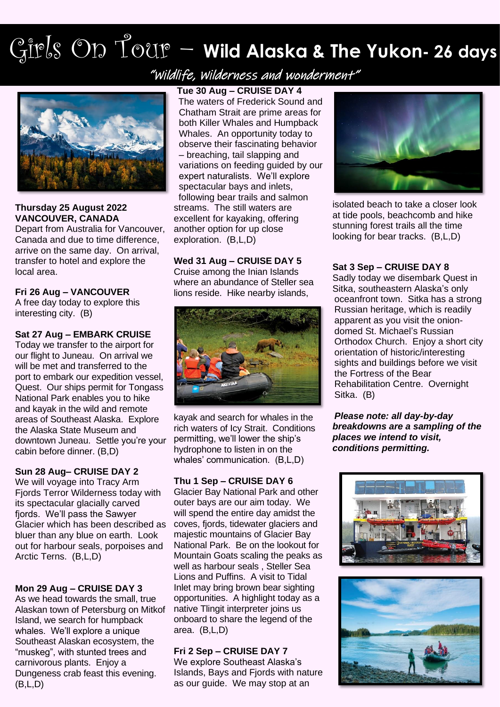# Girls On Tour – **Wild Alaska & The Yukon- <sup>26</sup> days**

"Wildlife, Wilderness and wonderment"



### **Thursday 25 August 2022 VANCOUVER, CANADA**

Depart from Australia for Vancouver, Canada and due to time difference, arrive on the same day. On arrival, transfer to hotel and explore the local area.

# **Fri 26 Aug – VANCOUVER**

A free day today to explore this interesting city. (B)

### **Sat 27 Aug – EMBARK CRUISE**

Today we transfer to the airport for our flight to Juneau. On arrival we will be met and transferred to the port to embark our expedition vessel, Quest. Our ships permit for Tongass National Park enables you to hike and kayak in the wild and remote areas of Southeast Alaska. Explore the Alaska State Museum and downtown Juneau. Settle you're your cabin before dinner. (B,D)

# **Sun 28 Aug– CRUISE DAY 2**

We will voyage into Tracy Arm Fjords Terror Wilderness today with its spectacular glacially carved fjords. We'll pass the Sawyer Glacier which has been described as bluer than any blue on earth. Look out for harbour seals, porpoises and Arctic Terns. (B,L,D)

# **Mon 29 Aug – CRUISE DAY 3**

As we head towards the small, true Alaskan town of Petersburg on Mitkof Island, we search for humpback whales. We'll explore a unique Southeast Alaskan ecosystem, the "muskeg", with stunted trees and carnivorous plants. Enjoy a Dungeness crab feast this evening. (B,L,D)

# **Tue 30 Aug – CRUISE DAY 4**

The waters of Frederick Sound and Chatham Strait are prime areas for both Killer Whales and Humpback Whales. An opportunity today to observe their fascinating behavior – breaching, tail slapping and variations on feeding guided by our expert naturalists. We'll explore spectacular bays and inlets, following bear trails and salmon streams. The still waters are excellent for kayaking, offering another option for up close exploration. (B,L,D)

# **Wed 31 Aug – CRUISE DAY 5**

Cruise among the Inian Islands where an abundance of Steller sea lions reside. Hike nearby islands,



kayak and search for whales in the rich waters of Icy Strait. Conditions permitting, we'll lower the ship's hydrophone to listen in on the whales' communication. (B,L,D)

# **Thu 1 Sep – CRUISE DAY 6**

Glacier Bay National Park and other outer bays are our aim today. We will spend the entire day amidst the coves, fjords, tidewater glaciers and majestic mountains of Glacier Bay National Park. Be on the lookout for Mountain Goats scaling the peaks as well as harbour seals , Steller Sea Lions and Puffins. A visit to Tidal Inlet may bring brown bear sighting opportunities. A highlight today as a native Tlingit interpreter joins us onboard to share the legend of the area. (B,L,D)

### **Fri 2 Sep – CRUISE DAY 7**

We explore Southeast Alaska's Islands, Bays and Fjords with nature as our guide. We may stop at an



isolated beach to take a closer look at tide pools, beachcomb and hike stunning forest trails all the time looking for bear tracks. (B,L,D)

### **Sat 3 Sep – CRUISE DAY 8**

Sadly today we disembark Quest in Sitka, southeastern Alaska's only oceanfront town. Sitka has a strong Russian heritage, which is readily apparent as you visit the oniondomed St. Michael's Russian Orthodox Church. Enjoy a short city orientation of historic/interesting sights and buildings before we visit the Fortress of the Bear Rehabilitation Centre. Overnight Sitka. (B)

*Please note: all day-by-day breakdowns are a sampling of the places we intend to visit, conditions permitting.*